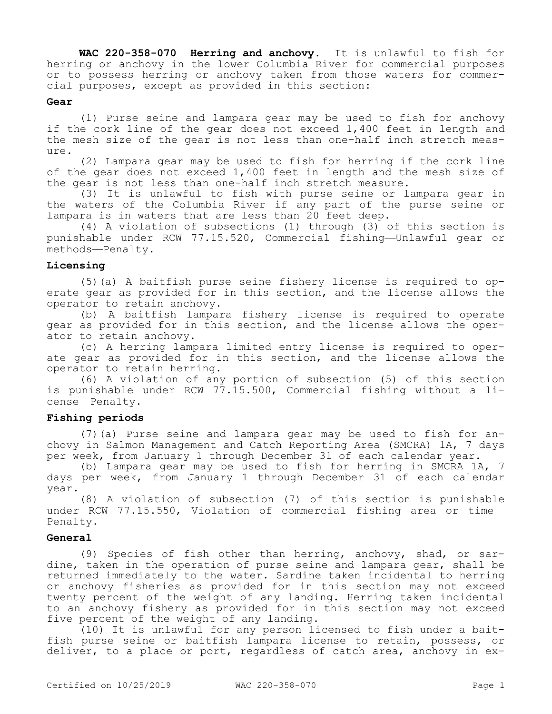**WAC 220-358-070 Herring and anchovy.** It is unlawful to fish for herring or anchovy in the lower Columbia River for commercial purposes or to possess herring or anchovy taken from those waters for commercial purposes, except as provided in this section:

## **Gear**

(1) Purse seine and lampara gear may be used to fish for anchovy if the cork line of the gear does not exceed 1,400 feet in length and the mesh size of the gear is not less than one-half inch stretch measure.

(2) Lampara gear may be used to fish for herring if the cork line of the gear does not exceed 1,400 feet in length and the mesh size of the gear is not less than one-half inch stretch measure.

(3) It is unlawful to fish with purse seine or lampara gear in the waters of the Columbia River if any part of the purse seine or lampara is in waters that are less than 20 feet deep.

(4) A violation of subsections (1) through (3) of this section is punishable under RCW 77.15.520, Commercial fishing—Unlawful gear or methods—Penalty.

## **Licensing**

(5)(a) A baitfish purse seine fishery license is required to operate gear as provided for in this section, and the license allows the operator to retain anchovy.

(b) A baitfish lampara fishery license is required to operate gear as provided for in this section, and the license allows the operator to retain anchovy.

(c) A herring lampara limited entry license is required to operate gear as provided for in this section, and the license allows the operator to retain herring.

(6) A violation of any portion of subsection (5) of this section is punishable under RCW 77.15.500, Commercial fishing without a license—Penalty.

## **Fishing periods**

(7)(a) Purse seine and lampara gear may be used to fish for anchovy in Salmon Management and Catch Reporting Area (SMCRA) 1A, 7 days per week, from January 1 through December 31 of each calendar year.

(b) Lampara gear may be used to fish for herring in SMCRA 1A, 7 days per week, from January 1 through December 31 of each calendar year.

(8) A violation of subsection (7) of this section is punishable under RCW 77.15.550, Violation of commercial fishing area or time— Penalty.

## **General**

(9) Species of fish other than herring, anchovy, shad, or sardine, taken in the operation of purse seine and lampara gear, shall be returned immediately to the water. Sardine taken incidental to herring or anchovy fisheries as provided for in this section may not exceed twenty percent of the weight of any landing. Herring taken incidental to an anchovy fishery as provided for in this section may not exceed five percent of the weight of any landing.

(10) It is unlawful for any person licensed to fish under a baitfish purse seine or baitfish lampara license to retain, possess, or deliver, to a place or port, regardless of catch area, anchovy in ex